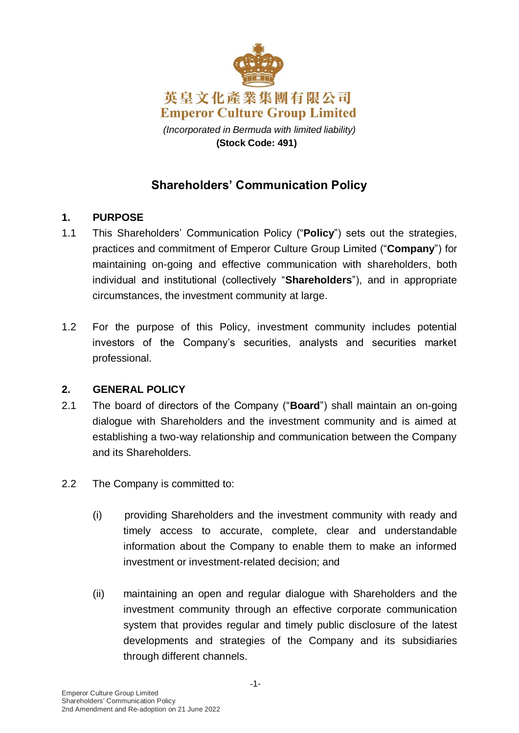

# **Shareholders' Communication Policy**

## **1. PURPOSE**

- 1.1 This Shareholders' Communication Policy ("**Policy**") sets out the strategies, practices and commitment of Emperor Culture Group Limited ("**Company**") for maintaining on-going and effective communication with shareholders, both individual and institutional (collectively "**Shareholders**"), and in appropriate circumstances, the investment community at large.
- 1.2 For the purpose of this Policy, investment community includes potential investors of the Company's securities, analysts and securities market professional.

#### **2. GENERAL POLICY**

- 2.1 The board of directors of the Company ("**Board**") shall maintain an on-going dialogue with Shareholders and the investment community and is aimed at establishing a two-way relationship and communication between the Company and its Shareholders.
- 2.2 The Company is committed to:
	- (i) providing Shareholders and the investment community with ready and timely access to accurate, complete, clear and understandable information about the Company to enable them to make an informed investment or investment-related decision; and
	- (ii) maintaining an open and regular dialogue with Shareholders and the investment community through an effective corporate communication system that provides regular and timely public disclosure of the latest developments and strategies of the Company and its subsidiaries through different channels.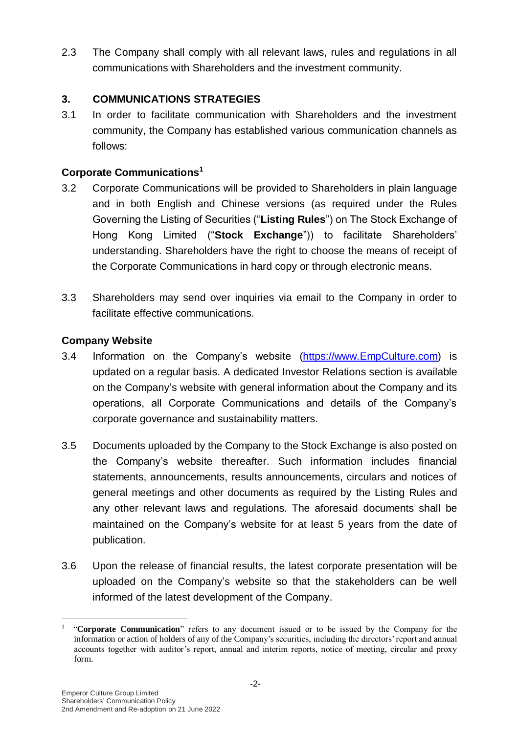2.3 The Company shall comply with all relevant laws, rules and regulations in all communications with Shareholders and the investment community.

### **3. COMMUNICATIONS STRATEGIES**

3.1 In order to facilitate communication with Shareholders and the investment community, the Company has established various communication channels as follows:

## **Corporate Communications<sup>1</sup>**

- 3.2 Corporate Communications will be provided to Shareholders in plain language and in both English and Chinese versions (as required under the Rules Governing the Listing of Securities ("**Listing Rules**") on The Stock Exchange of Hong Kong Limited ("**Stock Exchange**")) to facilitate Shareholders' understanding. Shareholders have the right to choose the means of receipt of the Corporate Communications in hard copy or through electronic means.
- 3.3 Shareholders may send over inquiries via email to the Company in order to facilitate effective communications.

## **Company Website**

- 3.4 Information on the Company's website [\(https://www.EmpCulture.com\)](https://www.empculture.com/) is updated on a regular basis. A dedicated Investor Relations section is available on the Company's website with general information about the Company and its operations, all Corporate Communications and details of the Company's corporate governance and sustainability matters.
- 3.5 Documents uploaded by the Company to the Stock Exchange is also posted on the Company's website thereafter. Such information includes financial statements, announcements, results announcements, circulars and notices of general meetings and other documents as required by the Listing Rules and any other relevant laws and regulations. The aforesaid documents shall be maintained on the Company's website for at least 5 years from the date of publication.
- 3.6 Upon the release of financial results, the latest corporate presentation will be uploaded on the Company's website so that the stakeholders can be well informed of the latest development of the Company.

<u>.</u>

<sup>&</sup>lt;sup>1</sup> "Corporate Communication" refers to any document issued or to be issued by the Company for the information or action of holders of any of the Company's securities, including the directors' report and annual accounts together with auditor's report, annual and interim reports, notice of meeting, circular and proxy form.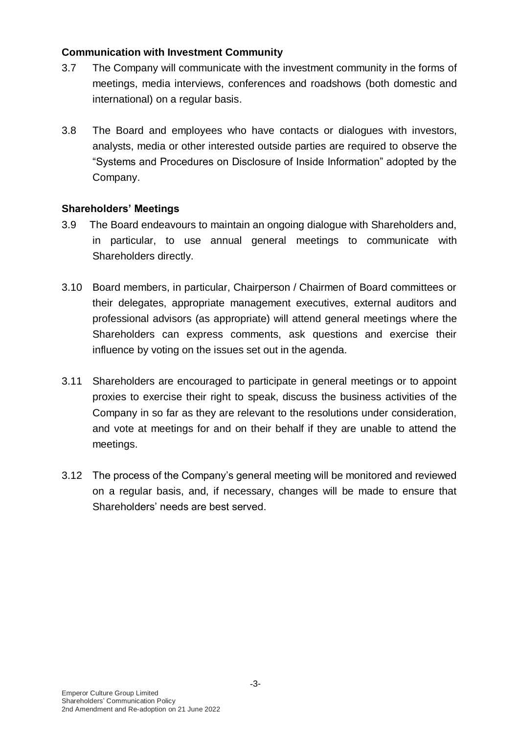#### **Communication with Investment Community**

- 3.7 The Company will communicate with the investment community in the forms of meetings, media interviews, conferences and roadshows (both domestic and international) on a regular basis.
- 3.8 The Board and employees who have contacts or dialogues with investors, analysts, media or other interested outside parties are required to observe the "Systems and Procedures on Disclosure of Inside Information" adopted by the Company.

#### **Shareholders' Meetings**

- 3.9 The Board endeavours to maintain an ongoing dialogue with Shareholders and, in particular, to use annual general meetings to communicate with Shareholders directly.
- 3.10 Board members, in particular, Chairperson / Chairmen of Board committees or their delegates, appropriate management executives, external auditors and professional advisors (as appropriate) will attend general meetings where the Shareholders can express comments, ask questions and exercise their influence by voting on the issues set out in the agenda.
- 3.11 Shareholders are encouraged to participate in general meetings or to appoint proxies to exercise their right to speak, discuss the business activities of the Company in so far as they are relevant to the resolutions under consideration, and vote at meetings for and on their behalf if they are unable to attend the meetings.
- 3.12 The process of the Company's general meeting will be monitored and reviewed on a regular basis, and, if necessary, changes will be made to ensure that Shareholders' needs are best served.